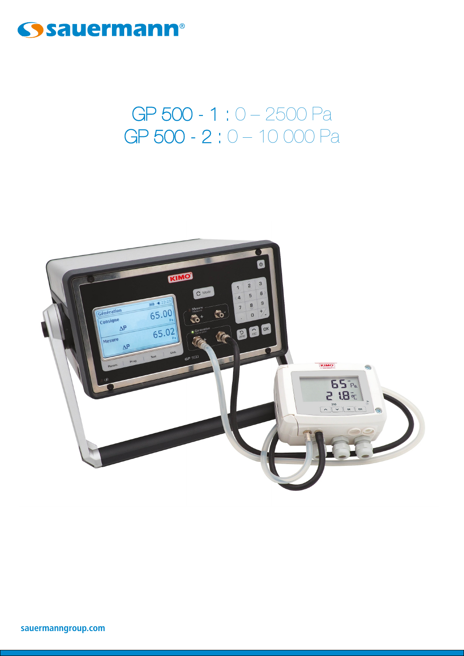

# GP 500 - 1 : 0 - 2500 Pa GP 500 - 2:0 - 10 000 Pa

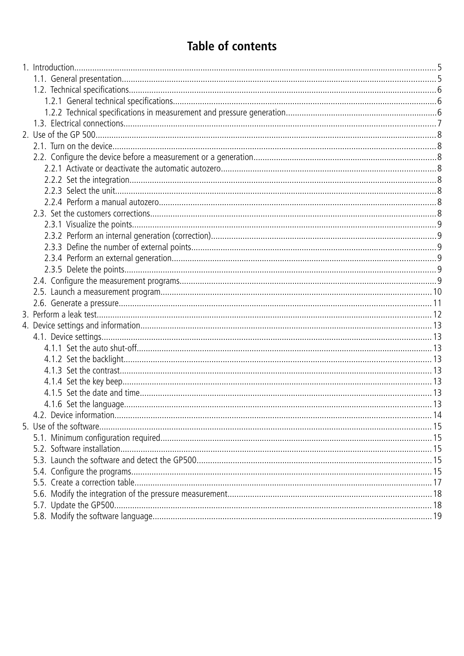# **Table of contents**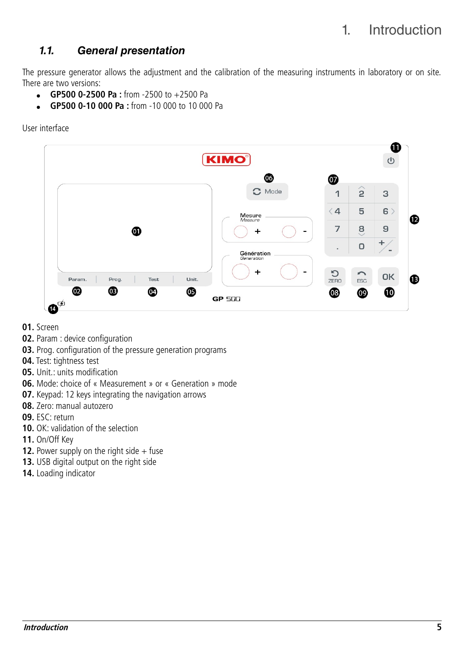# <span id="page-4-0"></span>1. Introduction

# <span id="page-4-1"></span>**1.1. General presentation**

The pressure generator allows the adjustment and the calibration of the measuring instruments in laboratory or on site. There are two versions:

- $\bullet$  **GP500 0-2500 Pa :** from -2500 to +2500 Pa
- **GP500 0-10 000 Pa :** from -10 000 to 10 000 Pa

User interface



- **01.** Screen
- **02.** Param : device configuration
- **03.** Prog. configuration of the pressure generation programs
- **04.** Test: tightness test
- **05.** Unit.: units modification
- **06.** Mode: choice of « Measurement » or « Generation » mode
- **07.** Keypad: 12 keys integrating the navigation arrows
- **08.** Zero: manual autozero
- **09.** ESC: return
- **10.** OK: validation of the selection
- **11.** On/Off Key
- **12.** Power supply on the right side  $+$  fuse
- **13.** USB digital output on the right side
- **14.** Loading indicator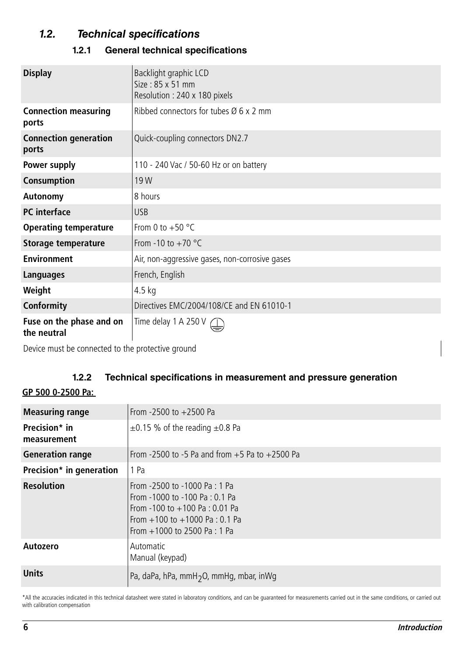# **1.2. Technical specifications**

### <span id="page-5-2"></span><span id="page-5-1"></span>**1.2.1 General technical specifications**

| <b>Display</b>                          | Backlight graphic LCD<br>Size: 85 x 51 mm<br>Resolution: 240 x 180 pixels |  |  |
|-----------------------------------------|---------------------------------------------------------------------------|--|--|
| <b>Connection measuring</b><br>ports    | Ribbed connectors for tubes $\varnothing$ 6 x 2 mm                        |  |  |
| <b>Connection generation</b><br>ports   | Quick-coupling connectors DN2.7                                           |  |  |
| Power supply                            | 110 - 240 Vac / 50-60 Hz or on battery                                    |  |  |
| Consumption                             | 19W                                                                       |  |  |
| <b>Autonomy</b>                         | 8 hours                                                                   |  |  |
| <b>PC</b> interface                     | <b>USB</b>                                                                |  |  |
| <b>Operating temperature</b>            | From 0 to $+50$ °C                                                        |  |  |
| <b>Storage temperature</b>              | From -10 to $+70$ °C                                                      |  |  |
| <b>Environment</b>                      | Air, non-aggressive gases, non-corrosive gases                            |  |  |
| <b>Languages</b>                        | French, English                                                           |  |  |
| Weight                                  | $4.5$ kg                                                                  |  |  |
| Conformity                              | Directives EMC/2004/108/CE and EN 61010-1                                 |  |  |
| Fuse on the phase and on<br>the neutral | Time delay $1 \text{ A } 250 \text{ V}$                                   |  |  |

Device must be connected to the protective ground

# <span id="page-5-0"></span>**1.2.2 Technical specifications in measurement and pressure generation**

### **GP 500 0-2500 Pa:**

| <b>Measuring range</b>       | From $-2500$ to $+2500$ Pa                                                                                                                                                 |  |  |
|------------------------------|----------------------------------------------------------------------------------------------------------------------------------------------------------------------------|--|--|
| Precision* in<br>measurement | $\pm$ 0.15 % of the reading $\pm$ 0.8 Pa                                                                                                                                   |  |  |
| <b>Generation range</b>      | From -2500 to -5 Pa and from $+5$ Pa to $+2500$ Pa                                                                                                                         |  |  |
| Precision* in generation     | 1 Pa                                                                                                                                                                       |  |  |
| <b>Resolution</b>            | From -2500 to -1000 Pa: 1 Pa<br>From -1000 to -100 Pa : 0.1 Pa<br>From -100 to $+100$ Pa : 0.01 Pa<br>From $+100$ to $+1000$ Pa : 0.1 Pa<br>From $+1000$ to 2500 Pa : 1 Pa |  |  |
| <b>Autozero</b>              | Automatic<br>Manual (keypad)                                                                                                                                               |  |  |
| <b>Units</b>                 | Pa, daPa, hPa, mmH <sub>2</sub> O, mmHg, mbar, inWg                                                                                                                        |  |  |

\*All the accuracies indicated in this technical datasheet were stated in laboratory conditions, and can be guaranteed for measurements carried out in the same conditions, or carried out with calibration compensation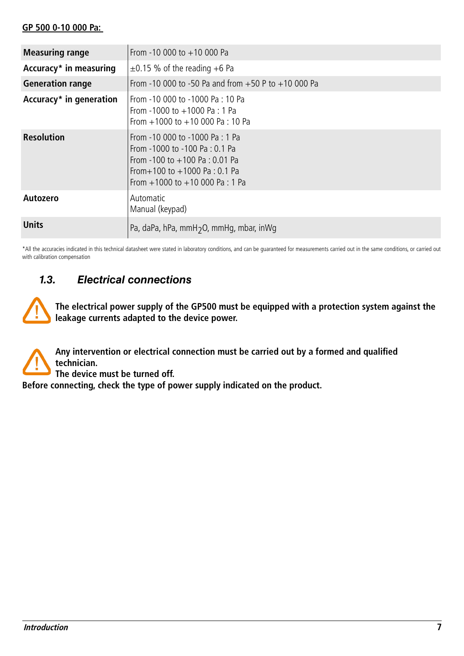#### **GP 500 0-10 000 Pa:**

| <b>Measuring range</b>  | From -10 000 to $+10$ 000 Pa                                                                                                                                                   |  |  |
|-------------------------|--------------------------------------------------------------------------------------------------------------------------------------------------------------------------------|--|--|
| Accuracy* in measuring  | $\pm$ 0.15 % of the reading +6 Pa                                                                                                                                              |  |  |
| <b>Generation range</b> | From -10 000 to -50 Pa and from $+50$ P to $+10$ 000 Pa                                                                                                                        |  |  |
| Accuracy* in generation | From -10 000 to -1000 Pa : 10 Pa<br>From -1000 to $+1000$ Pa : 1 Pa<br>From $+1000$ to $+10000$ Pa : 10 Pa                                                                     |  |  |
| <b>Resolution</b>       | From -10 000 to -1000 Pa: 1 Pa<br>From -1000 to -100 Pa : 0.1 Pa<br>From -100 to $+100$ Pa : 0.01 Pa<br>From + 100 to + 1000 Pa : 0.1 Pa<br>From $+1000$ to $+10000$ Pa : 1 Pa |  |  |
| <b>Autozero</b>         | Automatic<br>Manual (keypad)                                                                                                                                                   |  |  |
| <b>Units</b>            | Pa, daPa, hPa, mmH <sub>2</sub> O, mmHg, mbar, inWg                                                                                                                            |  |  |

\*All the accuracies indicated in this technical datasheet were stated in laboratory conditions, and can be guaranteed for measurements carried out in the same conditions, or carried out with calibration compensation

# <span id="page-6-0"></span>**1.3. Electrical connections**

**The electrical power supply of the GP500 must be equipped with a protection system against the leakage currents adapted to the device power.**

**Any intervention or electrical connection must be carried out by a formed and qualified technician.**

**The device must be turned off.**

**Before connecting, check the type of power supply indicated on the product.**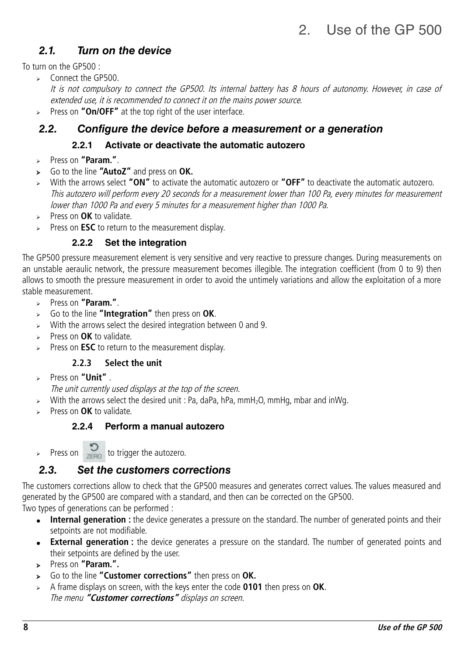# <span id="page-7-6"></span>**2.1. Turn on the device**

To turn on the GP500 :

➢ Connect the GP500.

It is not compulsory to connect the GP500. Its internal battery has 8 hours of autonomy. However, in case of extended use, it is recommended to connect it on the mains power source.

➢ Press on **"On/OFF"** at the top right of the user interface.

# **2.2. Configure the device before a measurement or a generation**

### <span id="page-7-7"></span><span id="page-7-5"></span><span id="page-7-4"></span>**2.2.1 Activate or deactivate the automatic autozero**

- ➢ Press on **"Param."**.
- ➢ Go to the line **"AutoZ"** and press on **OK.**
- ➢ With the arrows select **"ON"** to activate the automatic autozero or **"OFF"** to deactivate the automatic autozero. This autozero will perform every 20 seconds for a measurement lower than 100 Pa, every minutes for measurement lower than 1000 Pa and every 5 minutes for a measurement higher than 1000 Pa.
- ➢ Press on **OK** to validate.
- ➢ Press on **ESC** to return to the measurement display.

### <span id="page-7-3"></span>**2.2.2 Set the integration**

The GP500 pressure measurement element is very sensitive and very reactive to pressure changes. During measurements on an unstable aeraulic network, the pressure measurement becomes illegible. The integration coefficient (from 0 to 9) then allows to smooth the pressure measurement in order to avoid the untimely variations and allow the exploitation of a more stable measurement.

- ➢ Press on **"Param."**.
- ➢ Go to the line **"Integration"** then press on **OK**.
- $\triangleright$  With the arrows select the desired integration between 0 and 9.
- ➢ Press on **OK** to validate.
- Press on **ESC** to return to the measurement display.

### <span id="page-7-2"></span>**2.2.3 Select the unit**

➢ Press on **"Unit"** .

The unit currently used displays at the top of the screen.

- $\triangleright$  With the arrows select the desired unit : Pa, daPa, hPa, mmH<sub>2</sub>O, mmHg, mbar and inWg.
- ➢ Press on **OK** to validate.

### <span id="page-7-1"></span>**2.2.4 Perform a manual autozero**

Press on  $\sum_{\text{ZERO}}$  to trigger the autozero.

# <span id="page-7-0"></span>**2.3. Set the customers corrections**

The customers corrections allow to check that the GP500 measures and generates correct values. The values measured and generated by the GP500 are compared with a standard, and then can be corrected on the GP500.

Two types of generations can be performed :

- **Internal generation** : the device generates a pressure on the standard. The number of generated points and their setpoints are not modifiable.
- **External generation**: the device generates a pressure on the standard. The number of generated points and their setpoints are defined by the user.
- ➢ Press on **"Param.".**
- ➢ Go to the line **"Customer corrections"** then press on **OK.**
- ➢ A frame displays on screen, with the keys enter the code **0101** then press on **OK**. The menu **"Customer corrections"** displays on screen.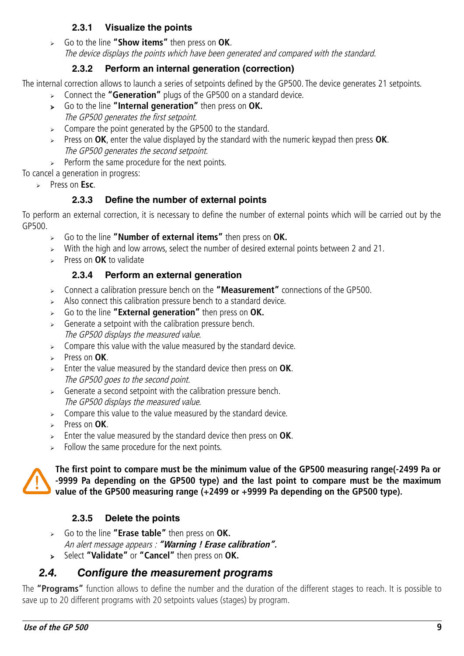### <span id="page-8-5"></span>**2.3.1 Visualize the points**

➢ Go to the line **"Show items"** then press on **OK**. The device displays the points which have been generated and compared with the standard.

## <span id="page-8-4"></span>**2.3.2 Perform an internal generation (correction)**

The internal correction allows to launch a series of setpoints defined by the GP500. The device generates 21 setpoints.

- ➢ Connect the **"Generation"** plugs of the GP500 on a standard device.
- ➢ Go to the line **"Internal generation"** then press on **OK.** The GP500 generates the first setpoint.
- $\geq$  Compare the point generated by the GP500 to the standard.
- ➢ Press on **OK**, enter the value displayed by the standard with the numeric keypad then press **OK**. The GP500 generates the second setpoint.
- $\triangleright$  Perform the same procedure for the next points.

To cancel a generation in progress:

➢ Press on **Esc**.

# <span id="page-8-3"></span>**2.3.3 Define the number of external points**

To perform an external correction, it is necessary to define the number of external points which will be carried out by the GP500.

- ➢ Go to the line **"Number of external items"** then press on **OK.**
- ➢ With the high and low arrows, select the number of desired external points between 2 and 21.
- ➢ Press on **OK** to validate

### <span id="page-8-2"></span>**2.3.4 Perform an external generation**

- ➢ Connect a calibration pressure bench on the **"Measurement"** connections of the GP500.
- $\triangleright$  Also connect this calibration pressure bench to a standard device.
- ➢ Go to the line **"External generation"** then press on **OK.**
- $\triangleright$  Generate a setpoint with the calibration pressure bench. The GP500 displays the measured value.
- $\geq$  Compare this value with the value measured by the standard device.
- ➢ Press on **OK**.
- ➢ Enter the value measured by the standard device then press on **OK**. The GP500 goes to the second point.
- $\triangleright$  Generate a second setpoint with the calibration pressure bench. The GP500 displays the measured value.
- $\geq$  Compare this value to the value measured by the standard device.
- ➢ Press on **OK**.
- ➢ Enter the value measured by the standard device then press on **OK**.
- $\geq$  Follow the same procedure for the next points.

**The first point to compare must be the minimum value of the GP500 measuring range(-2499 Pa or -9999 Pa depending on the GP500 type) and the last point to compare must be the maximum value of the GP500 measuring range (+2499 or +9999 Pa depending on the GP500 type).**

# <span id="page-8-1"></span>**2.3.5 Delete the points**

- ➢ Go to the line **"Erase table"** then press on **OK.** An alert message appears : **"Warning ! Erase calibration".**
- <span id="page-8-0"></span>➢ Select **"Validate"** or **"Cancel"** then press on **OK.**

# **2.4. Configure the measurement programs**

The **"Programs"** function allows to define the number and the duration of the different stages to reach. It is possible to save up to 20 different programs with 20 setpoints values (stages) by program.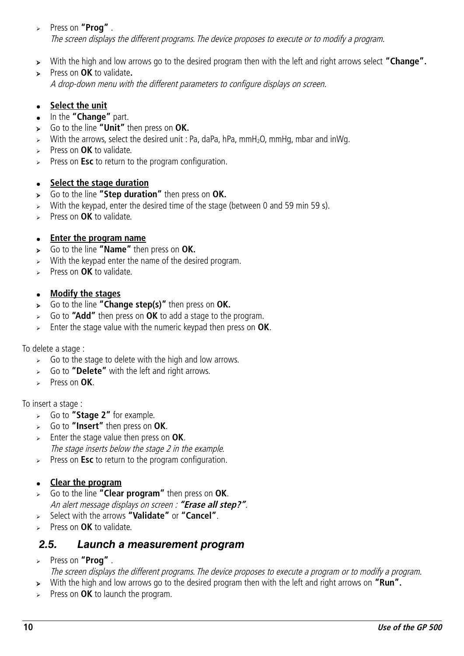### ➢ Press on **"Prog"** . The screen displays the different programs. The device proposes to execute or to modify a program.

- ➢ With the high and low arrows go to the desired program then with the left and right arrows select **"Change".**
- ➢ Press on **OK** to validate**.** A drop-down menu with the different parameters to configure displays on screen.

#### ● **Select the unit**

- In the **"Change"** part.
- ➢ Go to the line **"Unit"** then press on **OK.**
- $\triangleright$  With the arrows, select the desired unit : Pa, daPa, hPa, mmH<sub>2</sub>O, mmHg, mbar and inWg.
- ➢ Press on **OK** to validate.
- ➢ Press on **Esc** to return to the program configuration.

#### ● **Select the stage duration**

- ➢ Go to the line **"Step duration"** then press on **OK.**
- ➢ With the keypad, enter the desired time of the stage (between 0 and 59 min 59 s).
- ➢ Press on **OK** to validate.

#### ● **Enter the program name**

- ➢ Go to the line **"Name"** then press on **OK.**
- $\triangleright$  With the keypad enter the name of the desired program.
- ➢ Press on **OK** to validate.

#### ● **Modify the stages**

- ➢ Go to the line **"Change step(s)"** then press on **OK.**
- ➢ Go to **"Add"** then press on **OK** to add a stage to the program.
- ➢ Enter the stage value with the numeric keypad then press on **OK**.

#### To delete a stage :

- $\triangleright$  Go to the stage to delete with the high and low arrows.
- ➢ Go to **"Delete"** with the left and right arrows.
- ➢ Press on **OK**.

#### To insert a stage :

- ➢ Go to **"Stage 2"** for example.
- ➢ Go to **"Insert"** then press on **OK**.
- ➢ Enter the stage value then press on **OK**. The stage inserts below the stage 2 in the example.
- ➢ Press on **Esc** to return to the program configuration.

#### ● **Clear the program**

- ➢ Go to the line **"Clear program"** then press on **OK**. An alert message displays on screen : **"Erase all step?"**.
- ➢ Select with the arrows **"Validate"** or **"Cancel"**.
- ➢ Press on **OK** to validate.

### <span id="page-9-0"></span>**2.5. Launch a measurement program**

- ➢ Press on **"Prog"** .
- The screen displays the different programs. The device proposes to execute a program or to modify a program.
- ➢ With the high and low arrows go to the desired program then with the left and right arrows on **"Run".**
- ➢ Press on **OK** to launch the program.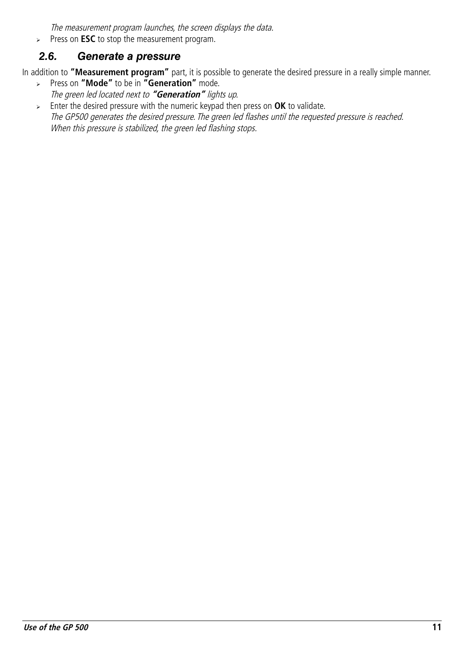<span id="page-10-0"></span>The measurement program launches, the screen displays the data.

➢ Press on **ESC** to stop the measurement program.

# **2.6. Generate a pressure**

In addition to **"Measurement program"** part, it is possible to generate the desired pressure in a really simple manner.

- ➢ Press on **"Mode"** to be in **"Generation"** mode. The green led located next to **"Generation"** lights up.
- ➢ Enter the desired pressure with the numeric keypad then press on **OK** to validate. The GP500 generates the desired pressure. The green led flashes until the requested pressure is reached. When this pressure is stabilized, the green led flashing stops.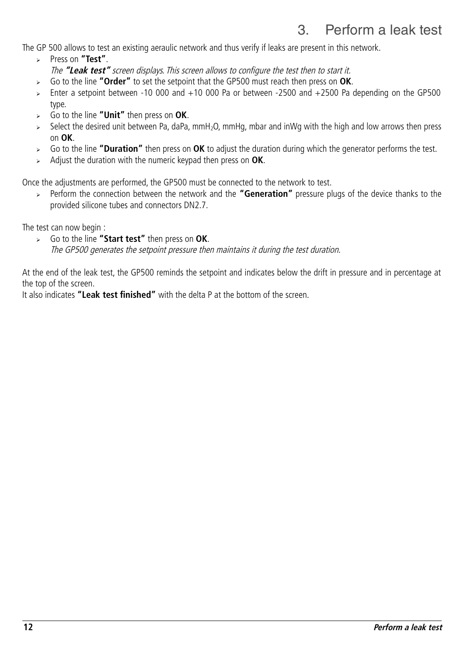# <span id="page-11-0"></span>3. Perform a leak test

The GP 500 allows to test an existing aeraulic network and thus verify if leaks are present in this network.

- ➢ Press on **"Test"**. The **"Leak test"** screen displays. This screen allows to configure the test then to start it.
- ➢ Go to the line **"Order"** to set the setpoint that the GP500 must reach then press on **OK**.
- ➢ Enter a setpoint between -10 000 and +10 000 Pa or between -2500 and +2500 Pa depending on the GP500 type.
- ➢ Go to the line **"Unit"** then press on **OK**.
- ➢ Select the desired unit between Pa, daPa, mmH2O, mmHg, mbar and inWg with the high and low arrows then press on **OK**.
- ➢ Go to the line **"Duration"** then press on **OK** to adjust the duration during which the generator performs the test.
- ➢ Adjust the duration with the numeric keypad then press on **OK**.

Once the adjustments are performed, the GP500 must be connected to the network to test.

➢ Perform the connection between the network and the **"Generation"** pressure plugs of the device thanks to the provided silicone tubes and connectors DN2.7.

The test can now begin :

➢ Go to the line **"Start test"** then press on **OK**. The GP500 generates the setpoint pressure then maintains it during the test duration.

At the end of the leak test, the GP500 reminds the setpoint and indicates below the drift in pressure and in percentage at the top of the screen.

It also indicates **"Leak test finished"** with the delta P at the bottom of the screen.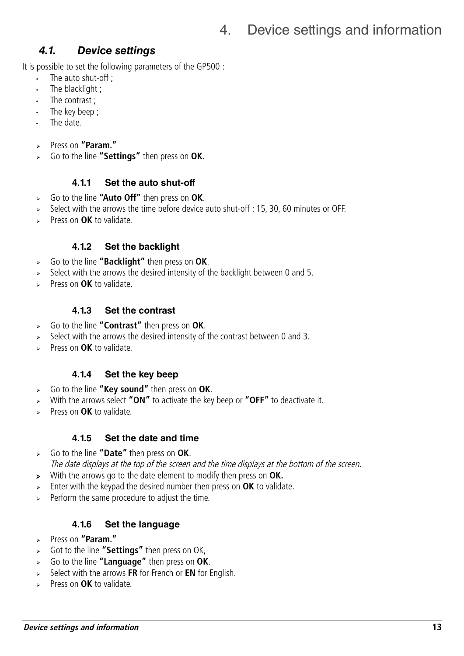# <span id="page-12-7"></span><span id="page-12-6"></span>**4.1. Device settings**

It is possible to set the following parameters of the GP500 :

- The auto shut-off ;
- The blacklight ;
- The contrast :
- The key beep ;
- The date.
- ➢ Press on **"Param."**
- ➢ Go to the line **"Settings"** then press on **OK**.

### <span id="page-12-5"></span>**4.1.1 Set the auto shut-off**

- ➢ Go to the line **"Auto Off"** then press on **OK**.
- ➢ Select with the arrows the time before device auto shut-off : 15, 30, 60 minutes or OFF.
- ➢ Press on **OK** to validate.

### <span id="page-12-4"></span>**4.1.2 Set the backlight**

- ➢ Go to the line **"Backlight"** then press on **OK**.
- $\triangleright$  Select with the arrows the desired intensity of the backlight between 0 and 5.
- ➢ Press on **OK** to validate.

### <span id="page-12-3"></span>**4.1.3 Set the contrast**

- ➢ Go to the line **"Contrast"** then press on **OK**.
- Select with the arrows the desired intensity of the contrast between 0 and 3.
- ➢ Press on **OK** to validate.

### <span id="page-12-2"></span>**4.1.4 Set the key beep**

- ➢ Go to the line **"Key sound"** then press on **OK**.
- ➢ With the arrows select **"ON"** to activate the key beep or **"OFF"** to deactivate it.
- ➢ Press on **OK** to validate.

### <span id="page-12-1"></span>**4.1.5 Set the date and time**

- ➢ Go to the line **"Date"** then press on **OK**.
- The date displays at the top of the screen and the time displays at the bottom of the screen.
- ➢ With the arrows go to the date element to modify then press on **OK.**
- ➢ Enter with the keypad the desired number then press on **OK** to validate.
- Perform the same procedure to adjust the time.

### <span id="page-12-0"></span>**4.1.6 Set the language**

- ➢ Press on **"Param."**
- ➢ Got to the line **"Settings"** then press on OK,
- ➢ Go to the line **"Language"** then press on **OK**.
- ➢ Select with the arrows **FR** for French or **EN** for English.
- ➢ Press on **OK** to validate.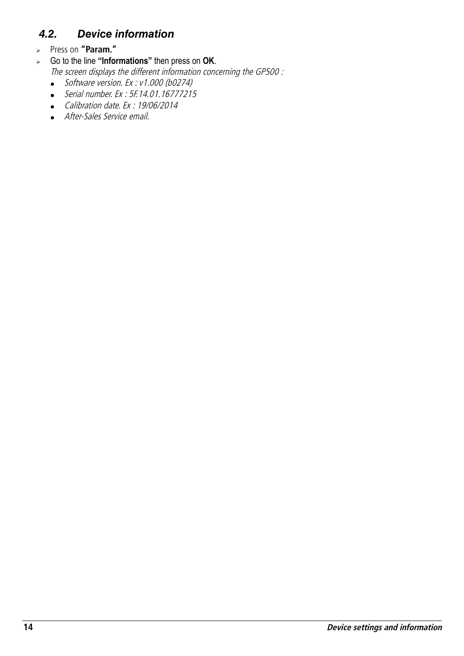# <span id="page-13-0"></span>**4.2. Device information**

- ➢ Press on **"Param."**
- ➢ Go to the line **"Informations"** then press on **OK**.

The screen displays the different information concerning the GP500 :

- $\bullet$  Software version. Ex : v1.000 (b0274)
- Serial number. Ex : 5F.14.01.16777215
- Calibration date. Ex : 19/06/2014
- After-Sales Service email.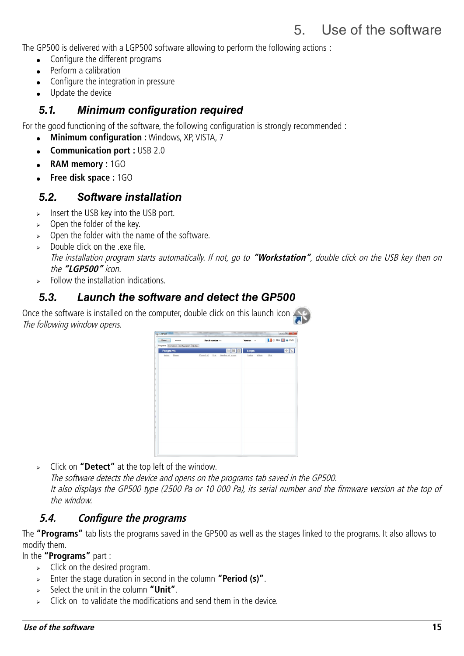# <span id="page-14-4"></span>5. Use of the software

The GP500 is delivered with a LGP500 software allowing to perform the following actions :

- Configure the different programs
- Perform a calibration
- Configure the integration in pressure
- Update the device

## <span id="page-14-3"></span>**5.1. Minimum configuration required**

For the good functioning of the software, the following configuration is strongly recommended :

- **Minimum configuration :** Windows, XP, VISTA, 7
- **Communication port :** USB 2.0
- **RAM memory :** 1GO
- **Free disk space :** 1GO

### <span id="page-14-2"></span>**5.2. Software installation**

- $\triangleright$  Insert the USB key into the USB port.
- $\geq$  Open the folder of the key.
- $\geq$  Open the folder with the name of the software.
- ➢ Double click on the .exe file. The installation program starts automatically. If not, go to **"Workstation"**, double click on the USB key then on the **"LGP500"** icon.
- <span id="page-14-1"></span>➢ Follow the installation indications.

# **5.3. Launch the software and detect the GP500**

Once the software is installed on the computer, double click on this launch icon The following window opens.



➢ Click on **"Detect"** at the top left of the window.

The software detects the device and opens on the programs tab saved in the GP500. It also displays the GP500 type (2500 Pa or 10 000 Pa), its serial number and the firmware version at the top of the window.

# <span id="page-14-0"></span>**5.4. Configure the programs**

The **"Programs"** tab lists the programs saved in the GP500 as well as the stages linked to the programs. It also allows to modify them.

In the **"Programs"** part :

- $\triangleright$  Click on the desired program.
- ➢ Enter the stage duration in second in the column **"Period (s)"**.
- ➢ Select the unit in the column **"Unit"**.
- ➢ Click on to validate the modifications and send them in the device.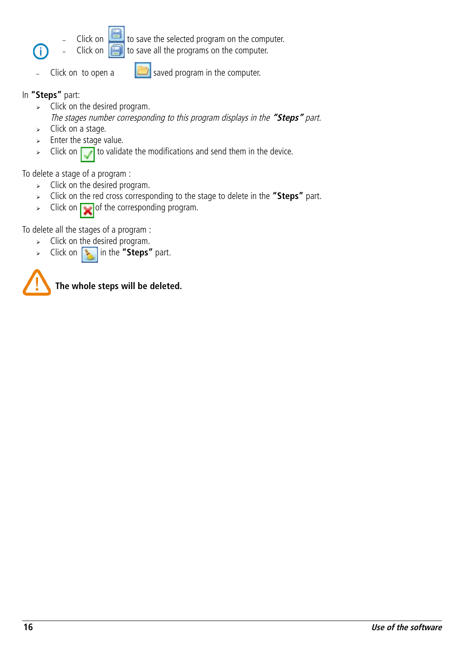

Click on  $\Box$  to save the selected program on the computer. Click on  $\left[\begin{array}{c|c}\hline\ \hline\ \hline\ \end{array}\right]$  to save all the programs on the computer.



Click on to open a  $\Box$  saved program in the computer.

### In **"Steps"** part:

Ť

- $\geq$  Click on the desired program. The stages number corresponding to this program displays in the **"Steps"** part.
- ➢ Click on a stage.
- $\geq$  Enter the stage value.
- $\triangleright$  Click on  $\triangleright$  to validate the modifications and send them in the device.

To delete a stage of a program :

- $\triangleright$  Click on the desired program.
- ➢ Click on the red cross corresponding to the stage to delete in the **"Steps"** part.
- $\triangleright$  Click on  $\triangleright$  of the corresponding program.

To delete all the stages of a program :

- $\triangleright$  Click on the desired program.
- ➢ Click on in the **"Steps"** part.



**The whole steps will be deleted.**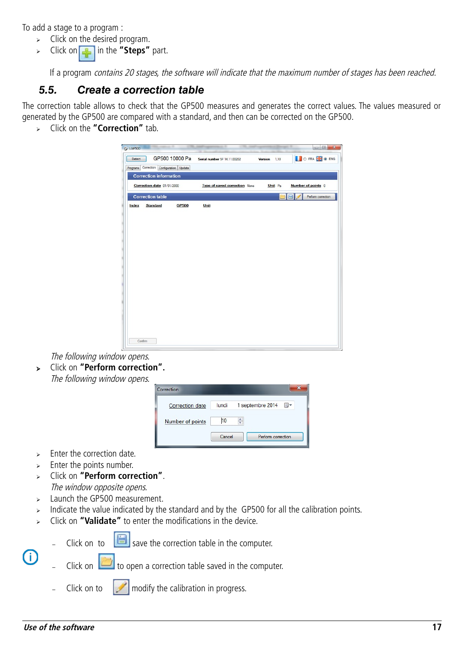To add a stage to a program :

- $\triangleright$  Click on the desired program.
- ➢ Click on in the **"Steps"** part.

<span id="page-16-0"></span>If a program contains 20 stages, the software will indicate that the maximum number of stages has been reached.

# **5.5. Create a correction table**

The correction table allows to check that the GP500 measures and generates the correct values. The values measured or generated by the GP500 are compared with a standard, and then can be corrected on the GP500.

➢ Click on the **"Correction"** tab.

| Detect  |                                          | GP500 10000 Pa | Serial number 5F 14.11.00202         | Version 1,10 | O FRAME O ENG      |
|---------|------------------------------------------|----------------|--------------------------------------|--------------|--------------------|
|         | Programs Correction Configuration Update |                |                                      |              |                    |
|         | <b>Correction information</b>            |                |                                      |              |                    |
|         | Correction date 01/01/2000               |                | <b>Type of saved correction</b> None | Unit Pa      | Number of points 0 |
|         | <b>Correction table</b>                  |                |                                      |              | Perform correction |
| Index   | Standard                                 | <b>GP500</b>   | Unit                                 |              |                    |
|         |                                          |                |                                      |              |                    |
|         |                                          |                |                                      |              |                    |
|         |                                          |                |                                      |              |                    |
|         |                                          |                |                                      |              |                    |
|         |                                          |                |                                      |              |                    |
|         |                                          |                |                                      |              |                    |
|         |                                          |                |                                      |              |                    |
|         |                                          |                |                                      |              |                    |
|         |                                          |                |                                      |              |                    |
|         |                                          |                |                                      |              |                    |
|         |                                          |                |                                      |              |                    |
|         |                                          |                |                                      |              |                    |
|         |                                          |                |                                      |              |                    |
|         |                                          |                |                                      |              |                    |
|         |                                          |                |                                      |              |                    |
| Confirm |                                          |                |                                      |              |                    |

The following window opens.

➢ Click on **"Perform correction".** The following window opens.



- $\epsilon$  Enter the correction date.
- $\geq$  Enter the points number.
- ➢ Click on **"Perform correction"**. The window opposite opens.
- ➢ Launch the GP500 measurement.
- > Indicate the value indicated by the standard and by the GP500 for all the calibration points.
- ➢ Click on **"Validate"** to enter the modifications in the device.

 $(i)$ 

Click on to  $\left[\begin{array}{c} \blacksquare \end{array}\right]$  save the correction table in the computer.

Click on  $\Box$  to open a correction table saved in the computer.

Click on to  $\mathbb{R}$  modify the calibration in progress.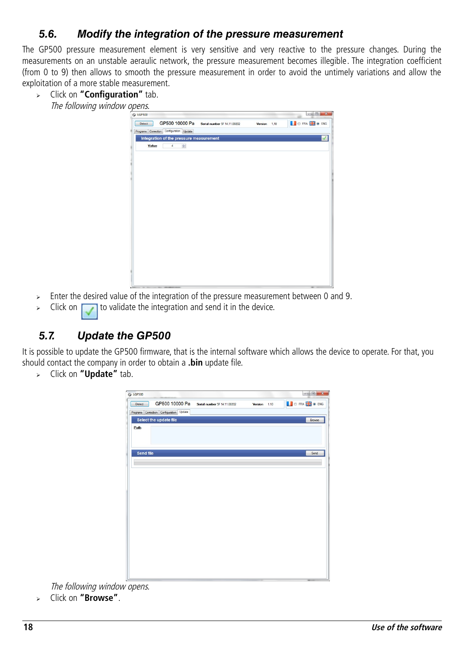# <span id="page-17-1"></span>**5.6. Modify the integration of the pressure measurement**

The GP500 pressure measurement element is very sensitive and very reactive to the pressure changes. During the measurements on an unstable aeraulic network, the pressure measurement becomes illegible. The integration coefficient (from 0 to 9) then allows to smooth the pressure measurement in order to avoid the untimely variations and allow the exploitation of a more stable measurement.

➢ Click on **"Configuration"** tab. The following window opens.

| C LGP500                                      |                                             |              | ÷                    |
|-----------------------------------------------|---------------------------------------------|--------------|----------------------|
| Detect                                        | GP500 10000 Pa Serial number 5F 14.11.00202 | Version 1.10 | <b>D</b> FRA 2 0 ENG |
| Programs Correction Configuration Update      |                                             |              |                      |
| Integration of the pressure measurement       |                                             |              | $\checkmark$         |
| $\frac{\Delta}{2}$<br>Value<br>$\overline{4}$ |                                             |              |                      |
|                                               |                                             |              |                      |
|                                               |                                             |              |                      |
|                                               |                                             |              |                      |
|                                               |                                             |              |                      |
|                                               |                                             |              |                      |
|                                               |                                             |              |                      |
|                                               |                                             |              |                      |
|                                               |                                             |              |                      |
|                                               |                                             |              |                      |
|                                               |                                             |              |                      |
|                                               |                                             |              |                      |
|                                               |                                             |              |                      |
|                                               |                                             |              |                      |
|                                               |                                             |              |                      |
|                                               |                                             |              |                      |
|                                               |                                             |              |                      |
|                                               |                                             |              |                      |
|                                               |                                             |              |                      |
|                                               |                                             |              |                      |
|                                               |                                             |              | $-$                  |

- $\geq$  Enter the desired value of the integration of the pressure measurement between 0 and 9.
- $\triangleright$  Click on the validate the integration and send it in the device.

# <span id="page-17-0"></span>**5.7. Update the GP500**

It is possible to update the GP500 firmware, that is the internal software which allows the device to operate. For that, you should contact the company in order to obtain a **.bin** update file.

➢ Click on **"Update"** tab.



➢ Click on **"Browse"**.